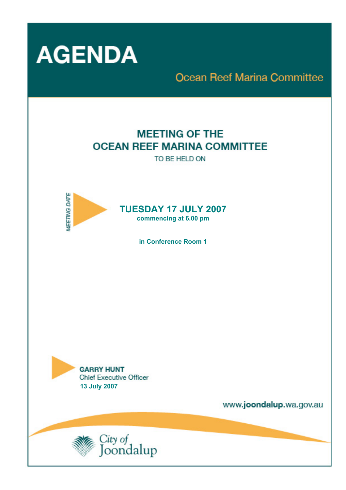

# **Ocean Reef Marina Committee**

# **MEETING OF THE OCEAN REEF MARINA COMMITTEE**

TO BE HELD ON



**in Conference Room 1** 



www.joondalup.wa.gov.au

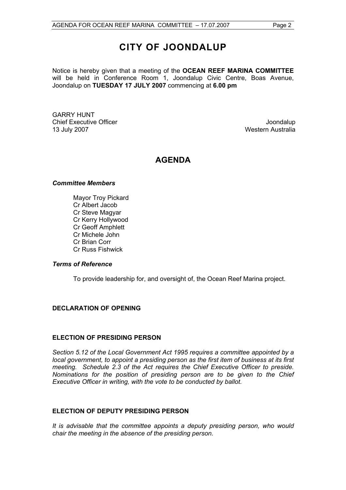## **CITY OF JOONDALUP**

Notice is hereby given that a meeting of the **OCEAN REEF MARINA COMMITTEE**  will be held in Conference Room 1, Joondalup Civic Centre, Boas Avenue, Joondalup on **TUESDAY 17 JULY 2007** commencing at **6.00 pm** 

GARRY HUNT Chief Executive Officer **Joondalup** 13 July 2007 Western Australia

### **AGENDA**

#### *Committee Members*

Mayor Troy Pickard Cr Albert Jacob Cr Steve Magyar Cr Kerry Hollywood Cr Geoff Amphlett Cr Michele John Cr Brian Corr Cr Russ Fishwick

#### *Terms of Reference*

To provide leadership for, and oversight of, the Ocean Reef Marina project.

#### **DECLARATION OF OPENING**

#### **ELECTION OF PRESIDING PERSON**

*Section 5.12 of the Local Government Act 1995 requires a committee appointed by a local government, to appoint a presiding person as the first item of business at its first meeting. Schedule 2.3 of the Act requires the Chief Executive Officer to preside. Nominations for the position of presiding person are to be given to the Chief Executive Officer in writing, with the vote to be conducted by ballot.* 

#### **ELECTION OF DEPUTY PRESIDING PERSON**

*It is advisable that the committee appoints a deputy presiding person, who would chair the meeting in the absence of the presiding person.*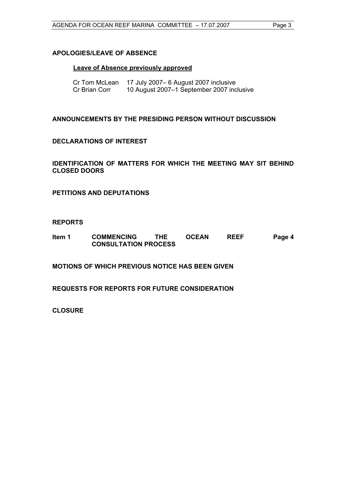#### **APOLOGIES/LEAVE OF ABSENCE**

#### **Leave of Absence previously approved**

| Cr Tom McLean | 17 July 2007– 6 August 2007 inclusive     |
|---------------|-------------------------------------------|
| Cr Brian Corr | 10 August 2007-1 September 2007 inclusive |

**ANNOUNCEMENTS BY THE PRESIDING PERSON WITHOUT DISCUSSION** 

#### **DECLARATIONS OF INTEREST**

**IDENTIFICATION OF MATTERS FOR WHICH THE MEETING MAY SIT BEHIND CLOSED DOORS** 

**PETITIONS AND DEPUTATIONS** 

#### **REPORTS**

| Item 1 | <b>COMMENCING</b>           | <b>THE</b> | <b>OCEAN</b> | <b>REEF</b> | Page 4 |
|--------|-----------------------------|------------|--------------|-------------|--------|
|        | <b>CONSULTATION PROCESS</b> |            |              |             |        |

**MOTIONS OF WHICH PREVIOUS NOTICE HAS BEEN GIVEN** 

**REQUESTS FOR REPORTS FOR FUTURE CONSIDERATION** 

**CLOSURE**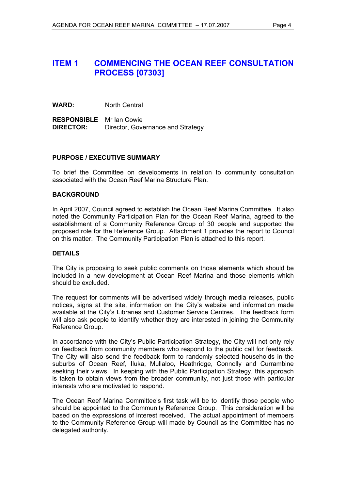### **ITEM 1 COMMENCING THE OCEAN REEF CONSULTATION PROCESS [07303]**

**WARD:** North Central

**RESPONSIBLE** Mr Ian Cowie **DIRECTOR:** Director, Governance and Strategy

#### **PURPOSE / EXECUTIVE SUMMARY**

To brief the Committee on developments in relation to community consultation associated with the Ocean Reef Marina Structure Plan.

#### **BACKGROUND**

In April 2007, Council agreed to establish the Ocean Reef Marina Committee. It also noted the Community Participation Plan for the Ocean Reef Marina, agreed to the establishment of a Community Reference Group of 30 people and supported the proposed role for the Reference Group. Attachment 1 provides the report to Council on this matter. The Community Participation Plan is attached to this report.

#### **DETAILS**

The City is proposing to seek public comments on those elements which should be included in a new development at Ocean Reef Marina and those elements which should be excluded.

The request for comments will be advertised widely through media releases, public notices, signs at the site, information on the City's website and information made available at the City's Libraries and Customer Service Centres. The feedback form will also ask people to identify whether they are interested in joining the Community Reference Group.

In accordance with the City's Public Participation Strategy, the City will not only rely on feedback from community members who respond to the public call for feedback. The City will also send the feedback form to randomly selected households in the suburbs of Ocean Reef, Iluka, Mullaloo, Heathridge, Connolly and Currambine seeking their views. In keeping with the Public Participation Strategy, this approach is taken to obtain views from the broader community, not just those with particular interests who are motivated to respond.

The Ocean Reef Marina Committee's first task will be to identify those people who should be appointed to the Community Reference Group. This consideration will be based on the expressions of interest received. The actual appointment of members to the Community Reference Group will made by Council as the Committee has no delegated authority.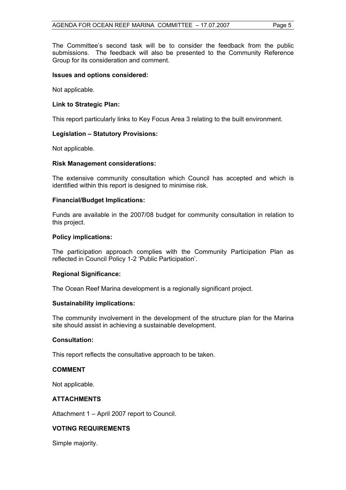The Committee's second task will be to consider the feedback from the public submissions. The feedback will also be presented to the Community Reference Group for its consideration and comment.

#### **Issues and options considered:**

Not applicable.

#### **Link to Strategic Plan:**

This report particularly links to Key Focus Area 3 relating to the built environment.

#### **Legislation – Statutory Provisions:**

Not applicable.

#### **Risk Management considerations:**

The extensive community consultation which Council has accepted and which is identified within this report is designed to minimise risk.

#### **Financial/Budget Implications:**

Funds are available in the 2007/08 budget for community consultation in relation to this project.

#### **Policy implications:**

The participation approach complies with the Community Participation Plan as reflected in Council Policy 1-2 'Public Participation'.

#### **Regional Significance:**

The Ocean Reef Marina development is a regionally significant project.

#### **Sustainability implications:**

The community involvement in the development of the structure plan for the Marina site should assist in achieving a sustainable development.

#### **Consultation:**

This report reflects the consultative approach to be taken.

#### **COMMENT**

Not applicable.

#### **ATTACHMENTS**

Attachment 1 – April 2007 report to Council.

#### **VOTING REQUIREMENTS**

Simple majority.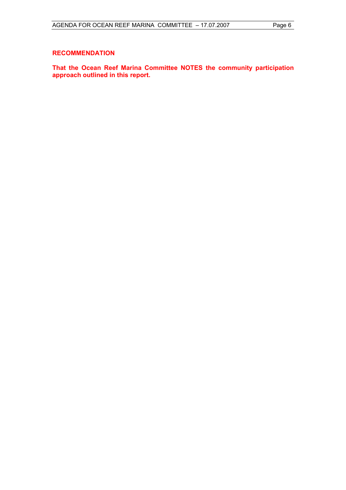#### **RECOMMENDATION**

**That the Ocean Reef Marina Committee NOTES the community participation approach outlined in this report.**